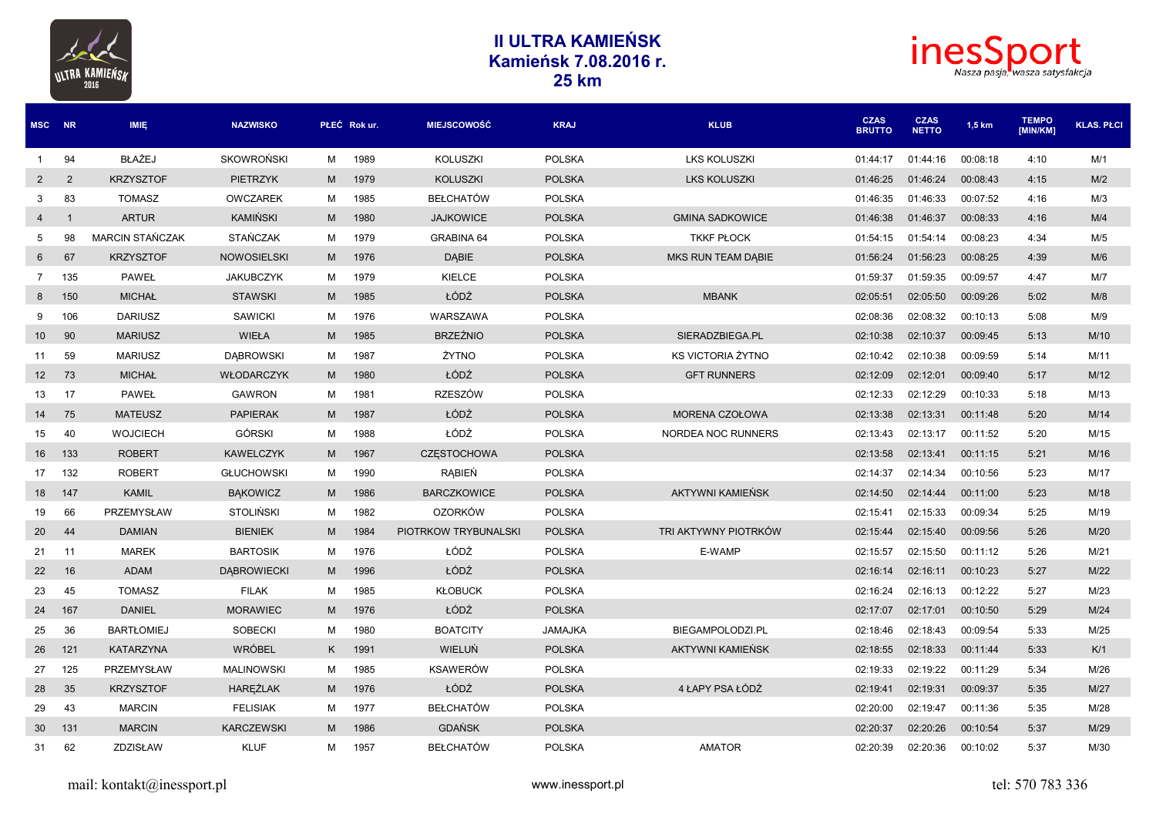



| MSC NR          |                | <b>IMIE</b>            | <b>NAZWISKO</b>    |   | PŁEĆ Rok ur. | <b>MIEJSCOWOŚĆ</b>   | <b>KRAJ</b>    | <b>KLUB</b>              | <b>CZAS</b><br><b>BRUTTO</b> | <b>CZAS</b><br><b>NETTO</b> | $1,5$ km | <b>TEMPO</b><br><b>IMIN/KM1</b> | <b>KLAS, PŁCI</b> |
|-----------------|----------------|------------------------|--------------------|---|--------------|----------------------|----------------|--------------------------|------------------------------|-----------------------------|----------|---------------------------------|-------------------|
| 1               | 94             | <b>BŁAŻEJ</b>          | <b>SKOWROŃSKI</b>  | M | 1989         | <b>KOLUSZKI</b>      | <b>POLSKA</b>  | <b>LKS KOLUSZKI</b>      | 01:44:17                     | 01:44:16                    | 00:08:18 | 4:10                            | M/1               |
| $\overline{2}$  | 2              | <b>KRZYSZTOF</b>       | <b>PIETRZYK</b>    | M | 1979         | <b>KOLUSZKI</b>      | <b>POLSKA</b>  | <b>LKS KOLUSZKI</b>      | 01:46:25                     | 01:46:24                    | 00:08:43 | 4:15                            | M/2               |
| 3               | 83             | <b>TOMASZ</b>          | <b>OWCZAREK</b>    | м | 1985         | <b>BEŁCHATÓW</b>     | <b>POLSKA</b>  |                          | 01:46:35                     | 01:46:33                    | 00:07:52 | 4:16                            | M/3               |
| 4               | $\overline{1}$ | <b>ARTUR</b>           | KAMIŃSKI           | M | 1980         | <b>JAJKOWICE</b>     | <b>POLSKA</b>  | <b>GMINA SADKOWICE</b>   | 01:46:38                     | 01:46:37                    | 00:08:33 | 4:16                            | M/4               |
| 5               | 98             | <b>MARCIN STAŃCZAK</b> | <b>STAŃCZAK</b>    | м | 1979         | <b>GRABINA 64</b>    | <b>POLSKA</b>  | <b>TKKF PŁOCK</b>        | 01:54:15                     | 01:54:14                    | 00:08:23 | 4:34                            | M/5               |
| 6               | 67             | <b>KRZYSZTOF</b>       | <b>NOWOSIELSKI</b> | M | 1976         | DĄBIE                | <b>POLSKA</b>  | MKS RUN TEAM DABIE       | 01:56:24                     | 01:56:23                    | 00:08:25 | 4:39                            | M/6               |
| $7\overline{ }$ | 135            | <b>PAWEŁ</b>           | <b>JAKUBCZYK</b>   | м | 1979         | KIELCE               | <b>POLSKA</b>  |                          | 01:59:37                     | 01:59:35                    | 00:09:57 | 4:47                            | M/7               |
| 8               | 150            | <b>MICHAŁ</b>          | <b>STAWSKI</b>     | M | 1985         | ŁÓDŹ                 | <b>POLSKA</b>  | <b>MBANK</b>             | 02:05:51                     | 02:05:50                    | 00:09:26 | 5:02                            | M/8               |
| 9               | 106            | <b>DARIUSZ</b>         | <b>SAWICKI</b>     | M | 1976         | WARSZAWA             | <b>POLSKA</b>  |                          | 02:08:36                     | 02:08:32                    | 00:10:13 | 5:08                            | M/9               |
| 10 <sup>1</sup> | 90             | <b>MARIUSZ</b>         | WIEŁA              | M | 1985         | <b>BRZEŹNIO</b>      | <b>POLSKA</b>  | SIERADZBIEGA.PL          | 02:10:38                     | 02:10:37                    | 00:09:45 | 5:13                            | M/10              |
| 11              | 59             | <b>MARIUSZ</b>         | <b>DABROWSKI</b>   | M | 1987         | ŻYTNO                | <b>POLSKA</b>  | <b>KS VICTORIA ŻYTNO</b> | 02:10:42                     | 02:10:38                    | 00:09:59 | 5:14                            | M/11              |
| 12 <sup>2</sup> | 73             | <b>MICHAŁ</b>          | WŁODARCZYK         | M | 1980         | ŁÓDŹ                 | <b>POLSKA</b>  | <b>GFT RUNNERS</b>       | 02:12:09                     | 02:12:01                    | 00:09:40 | 5:17                            | M/12              |
| 13              | 17             | <b>PAWEŁ</b>           | <b>GAWRON</b>      | м | 1981         | <b>RZESZÓW</b>       | <b>POLSKA</b>  |                          | 02:12:33                     | 02:12:29                    | 00:10:33 | 5:18                            | M/13              |
| 14              | 75             | <b>MATEUSZ</b>         | <b>PAPIERAK</b>    | M | 1987         | ŁÓDŹ                 | <b>POLSKA</b>  | MORENA CZOŁOWA           | 02:13:38                     | 02:13:31                    | 00:11:48 | 5:20                            | M/14              |
| 15              | 40             | <b>WOJCIECH</b>        | <b>GÓRSKI</b>      | м | 1988         | ŁÓDŹ                 | <b>POLSKA</b>  | NORDEA NOC RUNNERS       | 02:13:43                     | 02:13:17                    | 00:11:52 | 5:20                            | M/15              |
| 16              | 133            | <b>ROBERT</b>          | <b>KAWELCZYK</b>   | M | 1967         | <b>CZESTOCHOWA</b>   | <b>POLSKA</b>  |                          | 02:13:58                     | 02:13:41                    | 00:11:15 | 5:21                            | M/16              |
| 17              | 132            | <b>ROBERT</b>          | <b>GŁUCHOWSKI</b>  | м | 1990         | RABIEŃ               | <b>POLSKA</b>  |                          | 02:14:37                     | 02:14:34                    | 00:10:56 | 5:23                            | M/17              |
| 18              | 147            | <b>KAMIL</b>           | <b>BAKOWICZ</b>    | M | 1986         | <b>BARCZKOWICE</b>   | <b>POLSKA</b>  | AKTYWNI KAMIEŃSK         | 02:14:50                     | 02:14:44                    | 00:11:00 | 5:23                            | M/18              |
| 19              | 66             | PRZEMYSŁAW             | <b>STOLIŃSKI</b>   | M | 1982         | <b>OZORKÓW</b>       | <b>POLSKA</b>  |                          | 02:15:41                     | 02:15:33                    | 00:09:34 | 5:25                            | M/19              |
| 20              | 44             | <b>DAMIAN</b>          | <b>BIENIEK</b>     | M | 1984         | PIOTRKOW TRYBUNALSKI | <b>POLSKA</b>  | TRI AKTYWNY PIOTRKÓW     | 02:15:44                     | 02:15:40                    | 00:09:56 | 5:26                            | M/20              |
| 21              | 11             | <b>MAREK</b>           | <b>BARTOSIK</b>    | М | 1976         | ŁÓDŹ                 | <b>POLSKA</b>  | E-WAMP                   | 02:15:57                     | 02:15:50                    | 00:11:12 | 5:26                            | M/21              |
| 22              | 16             | <b>ADAM</b>            | <b>DABROWIECKI</b> | M | 1996         | ŁÓDŹ                 | <b>POLSKA</b>  |                          | 02:16:14                     | 02:16:11                    | 00:10:23 | 5:27                            | M/22              |
| 23              | 45             | <b>TOMASZ</b>          | <b>FILAK</b>       | M | 1985         | <b>KŁOBUCK</b>       | <b>POLSKA</b>  |                          | 02:16:24                     | 02:16:13                    | 00:12:22 | 5:27                            | M/23              |
| 24              | 167            | <b>DANIEL</b>          | <b>MORAWIEC</b>    | M | 1976         | ŁÓDŹ                 | <b>POLSKA</b>  |                          | 02:17:07                     | 02:17:01                    | 00:10:50 | 5:29                            | M/24              |
| 25              | 36             | <b>BARTŁOMIEJ</b>      | <b>SOBECKI</b>     | м | 1980         | <b>BOATCITY</b>      | <b>JAMAJKA</b> | BIEGAMPOLODZI.PL         | 02:18:46                     | 02:18:43                    | 00:09:54 | 5:33                            | M/25              |
| 26              | 121            | <b>KATARZYNA</b>       | <b>WRÓBEL</b>      | K | 1991         | <b>WIELUŃ</b>        | <b>POLSKA</b>  | AKTYWNI KAMIEŃSK         | 02:18:55                     | 02:18:33                    | 00:11:44 | 5:33                            | K/1               |
| 27              | 125            | PRZEMYSŁAW             | <b>MALINOWSKI</b>  | M | 1985         | <b>KSAWERÓW</b>      | <b>POLSKA</b>  |                          | 02:19:33                     | 02:19:22                    | 00:11:29 | 5:34                            | M/26              |
| 28              | 35             | <b>KRZYSZTOF</b>       | HAREZLAK           | M | 1976         | ŁÓDŹ                 | <b>POLSKA</b>  | 4 ŁAPY PSA ŁÓDŹ          | 02:19:41                     | 02:19:31                    | 00:09:37 | 5:35                            | M/27              |
| 29              | 43             | <b>MARCIN</b>          | <b>FELISIAK</b>    | м | 1977         | <b>BEŁCHATÓW</b>     | <b>POLSKA</b>  |                          | 02:20:00                     | 02:19:47                    | 00:11:36 | 5:35                            | M/28              |
| 30              | 131            | <b>MARCIN</b>          | <b>KARCZEWSKI</b>  | M | 1986         | <b>GDAŃSK</b>        | <b>POLSKA</b>  |                          | 02:20:37                     | 02:20:26                    | 00:10:54 | 5:37                            | M/29              |
| 31              | 62             | ZDZISŁAW               | <b>KLUF</b>        | M | 1957         | <b>BEŁCHATÓW</b>     | <b>POLSKA</b>  | <b>AMATOR</b>            | 02:20:39                     | 02:20:36                    | 00:10:02 | 5:37                            | M/30              |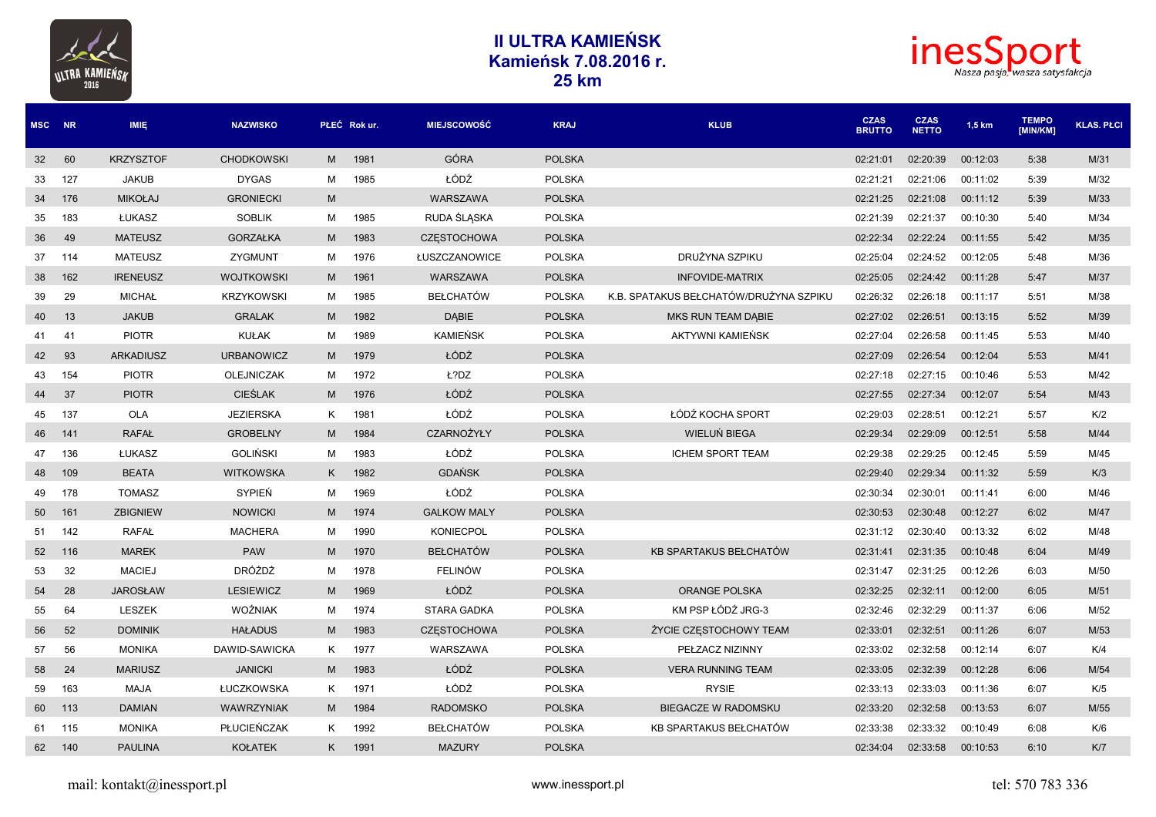



| <b>MSC</b>      | <b>NR</b> | <b>IMIE</b>      | <b>NAZWISKO</b>   |   | PŁEĆ Rok ur. | <b>MIEJSCOWOŚĆ</b> | <b>KRAJ</b>   | <b>KLUB</b>                            | <b>CZAS</b><br><b>BRUTTO</b> | <b>CZAS</b><br><b>NETTO</b> | $1,5$ km | <b>TEMPO</b><br>[MIN/KM] | <b>KLAS. PŁCI</b> |
|-----------------|-----------|------------------|-------------------|---|--------------|--------------------|---------------|----------------------------------------|------------------------------|-----------------------------|----------|--------------------------|-------------------|
| 32              | 60        | <b>KRZYSZTOF</b> | <b>CHODKOWSKI</b> | M | 1981         | <b>GÓRA</b>        | <b>POLSKA</b> |                                        | 02:21:01                     | 02:20:39                    | 00:12:03 | 5:38                     | M/31              |
| 33              | 127       | <b>JAKUB</b>     | <b>DYGAS</b>      | М | 1985         | ŁÓDŹ               | <b>POLSKA</b> |                                        | 02:21:21                     | 02:21:06                    | 00:11:02 | 5:39                     | M/32              |
| 34              | 176       | <b>MIKOŁAJ</b>   | <b>GRONIECKI</b>  | M |              | WARSZAWA           | <b>POLSKA</b> |                                        | 02:21:25                     | 02:21:08                    | 00:11:12 | 5:39                     | M/33              |
| 35              | 183       | <b>ŁUKASZ</b>    | <b>SOBLIK</b>     | M | 1985         | RUDA ŚLĄSKA        | <b>POLSKA</b> |                                        | 02:21:39                     | 02:21:37                    | 00:10:30 | 5:40                     | M/34              |
| 36              | 49        | <b>MATEUSZ</b>   | <b>GORZAŁKA</b>   | M | 1983         | <b>CZESTOCHOWA</b> | <b>POLSKA</b> |                                        | 02:22:34                     | 02:22:24                    | 00:11:55 | 5:42                     | M/35              |
| 37              | 114       | <b>MATEUSZ</b>   | ZYGMUNT           | м | 1976         | ŁUSZCZANOWICE      | <b>POLSKA</b> | DRUŻYNA SZPIKU                         | 02:25:04                     | 02:24:52                    | 00:12:05 | 5:48                     | M/36              |
| 38              | 162       | <b>IRENEUSZ</b>  | <b>WOJTKOWSKI</b> | M | 1961         | WARSZAWA           | <b>POLSKA</b> | INFOVIDE-MATRIX                        | 02:25:05                     | 02:24:42                    | 00:11:28 | 5:47                     | M/37              |
| 39              | 29        | <b>MICHAŁ</b>    | <b>KRZYKOWSKI</b> | м | 1985         | <b>BEŁCHATÓW</b>   | <b>POLSKA</b> | K.B. SPATAKUS BEŁCHATÓW/DRUŻYNA SZPIKU | 02:26:32                     | 02:26:18                    | 00:11:17 | 5:51                     | M/38              |
| 40              | 13        | <b>JAKUB</b>     | <b>GRALAK</b>     | M | 1982         | <b>DABIE</b>       | <b>POLSKA</b> | <b>MKS RUN TEAM DABIE</b>              | 02:27:02                     | 02:26:51                    | 00:13:15 | 5:52                     | M/39              |
| 41              | -41       | <b>PIOTR</b>     | KUŁAK             | M | 1989         | <b>KAMIEŃSK</b>    | <b>POLSKA</b> | AKTYWNI KAMIEŃSK                       | 02:27:04                     | 02:26:58                    | 00:11:45 | 5:53                     | M/40              |
| 42              | 93        | <b>ARKADIUSZ</b> | <b>URBANOWICZ</b> | M | 1979         | ŁÓDŹ               | <b>POLSKA</b> |                                        | 02:27:09                     | 02:26:54                    | 00:12:04 | 5:53                     | M/41              |
| 43              | 154       | <b>PIOTR</b>     | <b>OLEJNICZAK</b> | м | 1972         | Ł?DZ               | <b>POLSKA</b> |                                        | 02:27:18                     | 02:27:15                    | 00:10:46 | 5:53                     | M/42              |
| 44              | 37        | <b>PIOTR</b>     | <b>CIEŚLAK</b>    | M | 1976         | ŁÓDŹ               | <b>POLSKA</b> |                                        | 02:27:55                     | 02:27:34                    | 00:12:07 | 5:54                     | M/43              |
| 45              | 137       | <b>OLA</b>       | <b>JEZIERSKA</b>  | K | 1981         | ŁÓDŹ               | <b>POLSKA</b> | ŁÓDŹ KOCHA SPORT                       | 02:29:03                     | 02:28:51                    | 00:12:21 | 5:57                     | K/2               |
| 46              | 141       | <b>RAFAŁ</b>     | <b>GROBELNY</b>   | M | 1984         | CZARNOŻYŁY         | <b>POLSKA</b> | WIELUŃ BIEGA                           | 02:29:34                     | 02:29:09                    | 00:12:51 | 5:58                     | M/44              |
| 47              | 136       | ŁUKASZ           | <b>GOLIŃSKI</b>   | м | 1983         | ŁÓDŹ               | <b>POLSKA</b> | <b>ICHEM SPORT TEAM</b>                | 02:29:38                     | 02:29:25                    | 00:12:45 | 5:59                     | M/45              |
| 48              | 109       | <b>BEATA</b>     | <b>WITKOWSKA</b>  | K | 1982         | <b>GDAŃSK</b>      | <b>POLSKA</b> |                                        | 02:29:40                     | 02:29:34                    | 00:11:32 | 5:59                     | K/3               |
| 49              | 178       | <b>TOMASZ</b>    | SYPIEŃ            | м | 1969         | ŁÓDŹ               | <b>POLSKA</b> |                                        | 02:30:34                     | 02:30:01                    | 00:11:41 | 6:00                     | M/46              |
| 50 <sup>°</sup> | 161       | <b>ZBIGNIEW</b>  | <b>NOWICKI</b>    | M | 1974         | <b>GALKOW MALY</b> | <b>POLSKA</b> |                                        | 02:30:53                     | 02:30:48                    | 00:12:27 | 6:02                     | M/47              |
| 51              | 142       | <b>RAFAŁ</b>     | <b>MACHERA</b>    | М | 1990         | <b>KONIECPOL</b>   | <b>POLSKA</b> |                                        | 02:31:12                     | 02:30:40                    | 00:13:32 | 6:02                     | M/48              |
| 52              | 116       | <b>MAREK</b>     | <b>PAW</b>        | M | 1970         | <b>BEŁCHATÓW</b>   | <b>POLSKA</b> | KB SPARTAKUS BEŁCHATÓW                 | 02:31:41                     | 02:31:35                    | 00:10:48 | 6:04                     | M/49              |
| 53              | 32        | <b>MACIEJ</b>    | <b>DRÓŻDŻ</b>     | м | 1978         | <b>FELINÓW</b>     | <b>POLSKA</b> |                                        | 02:31:47                     | 02:31:25                    | 00:12:26 | 6:03                     | M/50              |
| 54              | 28        | <b>JAROSŁAW</b>  | <b>LESIEWICZ</b>  | M | 1969         | ŁÓDŹ               | <b>POLSKA</b> | <b>ORANGE POLSKA</b>                   | 02:32:25                     | 02:32:11                    | 00:12:00 | 6:05                     | M/51              |
| 55              | 64        | <b>LESZEK</b>    | <b>WOŹNIAK</b>    | M | 1974         | <b>STARA GADKA</b> | <b>POLSKA</b> | KM PSP ŁÓDŹ JRG-3                      | 02:32:46                     | 02:32:29                    | 00:11:37 | 6:06                     | M/52              |
| 56              | 52        | <b>DOMINIK</b>   | <b>HAŁADUS</b>    | M | 1983         | <b>CZESTOCHOWA</b> | <b>POLSKA</b> | ŻYCIE CZESTOCHOWY TEAM                 | 02:33:01                     | 02:32:51                    | 00:11:26 | 6:07                     | M/53              |
| 57              | 56        | <b>MONIKA</b>    | DAWID-SAWICKA     | K | 1977         | WARSZAWA           | <b>POLSKA</b> | PEŁZACZ NIZINNY                        | 02:33:02                     | 02:32:58                    | 00:12:14 | 6:07                     | K/4               |
| 58              | 24        | <b>MARIUSZ</b>   | <b>JANICKI</b>    | M | 1983         | ŁÓDŹ               | <b>POLSKA</b> | <b>VERA RUNNING TEAM</b>               | 02:33:05                     | 02:32:39                    | 00:12:28 | 6:06                     | M/54              |
| 59              | 163       | <b>MAJA</b>      | ŁUCZKOWSKA        | K | 1971         | ŁÓDŹ               | <b>POLSKA</b> | <b>RYSIE</b>                           | 02:33:13                     | 02:33:03                    | 00:11:36 | 6:07                     | K/5               |
| 60              | 113       | <b>DAMIAN</b>    | WAWRZYNIAK        | M | 1984         | <b>RADOMSKO</b>    | <b>POLSKA</b> | BIEGACZE W RADOMSKU                    | 02:33:20                     | 02:32:58                    | 00:13:53 | 6:07                     | M/55              |
| 61              | 115       | <b>MONIKA</b>    | PŁUCIEŃCZAK       | Κ | 1992         | <b>BEŁCHATÓW</b>   | <b>POLSKA</b> | KB SPARTAKUS BEŁCHATÓW                 | 02:33:38                     | 02:33:32                    | 00:10:49 | 6:08                     | K/6               |
| 62              | 140       | <b>PAULINA</b>   | <b>KOŁATEK</b>    | K | 1991         | <b>MAZURY</b>      | <b>POLSKA</b> |                                        | 02:34:04                     | 02:33:58                    | 00:10:53 | 6:10                     | K/T               |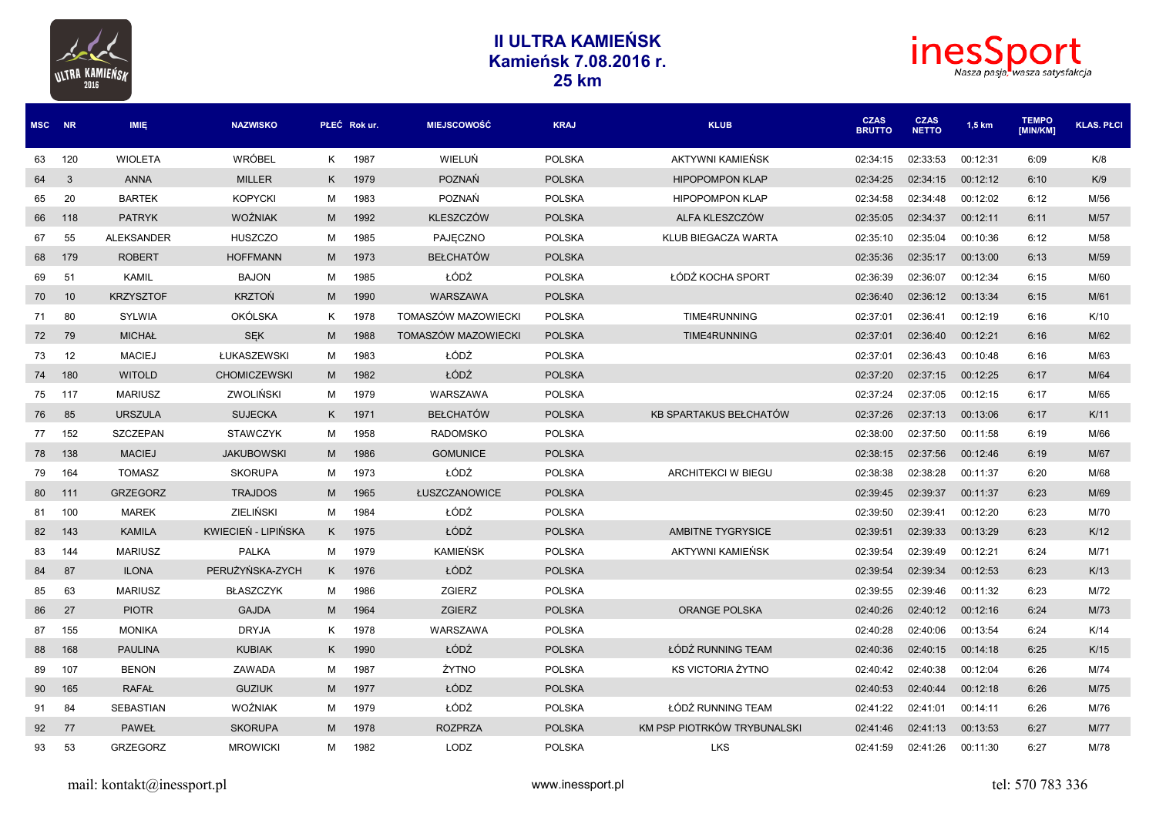



| MSC NR |     | <b>IMIE</b>       | <b>NAZWISKO</b>     |   | PŁEĆ Rok ur. | <b>MIEJSCOWOŚĆ</b>  | <b>KRAJ</b>   | <b>KLUB</b>                   | <b>CZAS</b><br><b>BRUTTO</b> | <b>CZAS</b><br><b>NETTO</b> | 1,5 km   | <b>TEMPO</b><br>[MIN/KM] | <b>KLAS. PŁCI</b> |
|--------|-----|-------------------|---------------------|---|--------------|---------------------|---------------|-------------------------------|------------------------------|-----------------------------|----------|--------------------------|-------------------|
| 63     | 120 | <b>WIOLETA</b>    | <b>WRÓBEL</b>       |   | K 1987       | WIELUŃ              | <b>POLSKA</b> | AKTYWNI KAMIEŃSK              | 02:34:15                     | 02:33:53                    | 00:12:31 | 6:09                     | K/8               |
| 64     | 3   | <b>ANNA</b>       | <b>MILLER</b>       | K | 1979         | <b>POZNAŃ</b>       | <b>POLSKA</b> | <b>HIPOPOMPON KLAP</b>        | 02:34:25                     | 02:34:15                    | 00:12:12 | 6:10                     | K/9               |
| 65     | 20  | <b>BARTEK</b>     | <b>KOPYCKI</b>      | м | 1983         | <b>POZNAŃ</b>       | <b>POLSKA</b> | <b>HIPOPOMPON KLAP</b>        | 02:34:58                     | 02:34:48                    | 00:12:02 | 6:12                     | M/56              |
| 66     | 118 | <b>PATRYK</b>     | <b>WOŹNIAK</b>      | M | 1992         | <b>KLESZCZÓW</b>    | <b>POLSKA</b> | ALFA KLESZCZÓW                | 02:35:05                     | 02:34:37                    | 00:12:11 | 6:11                     | M/57              |
| 67     | 55  | <b>ALEKSANDER</b> | <b>HUSZCZO</b>      | M | 1985         | PAJECZNO            | <b>POLSKA</b> | <b>KLUB BIEGACZA WARTA</b>    | 02:35:10                     | 02:35:04                    | 00:10:36 | 6:12                     | M/58              |
| 68     | 179 | <b>ROBERT</b>     | <b>HOFFMANN</b>     | M | 1973         | <b>BEŁCHATÓW</b>    | <b>POLSKA</b> |                               | 02:35:36                     | 02:35:17                    | 00:13:00 | 6:13                     | M/59              |
| 69     | 51  | <b>KAMIL</b>      | <b>BAJON</b>        | M | 1985         | ŁÓDŹ                | <b>POLSKA</b> | ŁÓDŹ KOCHA SPORT              | 02:36:39                     | 02:36:07                    | 00:12:34 | 6:15                     | M/60              |
| 70     | 10  | <b>KRZYSZTOF</b>  | <b>KRZTOŃ</b>       | M | 1990         | WARSZAWA            | <b>POLSKA</b> |                               | 02:36:40                     | 02:36:12                    | 00:13:34 | 6:15                     | M/61              |
| 71     | 80  | <b>SYLWIA</b>     | <b>OKÓLSKA</b>      | K | 1978         | TOMASZÓW MAZOWIECKI | <b>POLSKA</b> | TIME4RUNNING                  | 02:37:01                     | 02:36:41                    | 00:12:19 | 6:16                     | K/10              |
| 72     | 79  | <b>MICHAŁ</b>     | <b>SEK</b>          | M | 1988         | TOMASZÓW MAZOWIECKI | <b>POLSKA</b> | TIME4RUNNING                  | 02:37:01                     | 02:36:40                    | 00:12:21 | 6:16                     | M/62              |
| 73     | 12  | <b>MACIEJ</b>     | ŁUKASZEWSKI         | M | 1983         | ŁÓDŹ                | <b>POLSKA</b> |                               | 02:37:01                     | 02:36:43                    | 00:10:48 | 6:16                     | M/63              |
| 74     | 180 | <b>WITOLD</b>     | <b>CHOMICZEWSKI</b> | M | 1982         | ŁÓDŹ                | <b>POLSKA</b> |                               | 02:37:20                     | 02:37:15                    | 00:12:25 | 6:17                     | M/64              |
| 75     | 117 | <b>MARIUSZ</b>    | <b>ZWOLIŃSKI</b>    | м | 1979         | WARSZAWA            | <b>POLSKA</b> |                               | 02:37:24                     | 02:37:05                    | 00:12:15 | 6:17                     | M/65              |
| 76     | 85  | <b>URSZULA</b>    | <b>SUJECKA</b>      | K | 1971         | <b>BEŁCHATÓW</b>    | <b>POLSKA</b> | <b>KB SPARTAKUS BEŁCHATÓW</b> | 02:37:26                     | 02:37:13                    | 00:13:06 | 6:17                     | K/11              |
| 77     | 152 | <b>SZCZEPAN</b>   | <b>STAWCZYK</b>     | M | 1958         | <b>RADOMSKO</b>     | <b>POLSKA</b> |                               | 02:38:00                     | 02:37:50                    | 00:11:58 | 6:19                     | M/66              |
| 78     | 138 | <b>MACIEJ</b>     | <b>JAKUBOWSKI</b>   | M | 1986         | <b>GOMUNICE</b>     | <b>POLSKA</b> |                               | 02:38:15                     | 02:37:56                    | 00:12:46 | 6:19                     | M/67              |
| 79     | 164 | <b>TOMASZ</b>     | <b>SKORUPA</b>      | M | 1973         | ŁÓDŹ                | <b>POLSKA</b> | ARCHITEKCI W BIEGU            | 02:38:38                     | 02:38:28                    | 00:11:37 | 6:20                     | M/68              |
| 80     | 111 | <b>GRZEGORZ</b>   | <b>TRAJDOS</b>      | M | 1965         | ŁUSZCZANOWICE       | <b>POLSKA</b> |                               | 02:39:45                     | 02:39:37                    | 00:11:37 | 6:23                     | M/69              |
| 81     | 100 | <b>MAREK</b>      | <b>ZIELIŃSKI</b>    | M | 1984         | ŁÓDŹ                | <b>POLSKA</b> |                               | 02:39:50                     | 02:39:41                    | 00:12:20 | 6:23                     | M/70              |
| 82     | 143 | <b>KAMILA</b>     | KWIECIEŃ - LIPIŃSKA | K | 1975         | ŁÓDŹ                | <b>POLSKA</b> | <b>AMBITNE TYGRYSICE</b>      | 02:39:51                     | 02:39:33                    | 00:13:29 | 6:23                     | K/12              |
| 83     | 144 | <b>MARIUSZ</b>    | <b>PALKA</b>        | M | 1979         | <b>KAMIEŃSK</b>     | <b>POLSKA</b> | AKTYWNI KAMIEŃSK              | 02:39:54                     | 02:39:49                    | 00:12:21 | 6:24                     | M/71              |
| 84     | 87  | <b>ILONA</b>      | PERUŻYŃSKA-ZYCH     | K | 1976         | ŁÓDŹ                | <b>POLSKA</b> |                               | 02:39:54                     | 02:39:34                    | 00:12:53 | 6:23                     | K/13              |
| 85     | 63  | <b>MARIUSZ</b>    | <b>BŁASZCZYK</b>    | м | 1986         | <b>ZGIERZ</b>       | <b>POLSKA</b> |                               | 02:39:55                     | 02:39:46                    | 00:11:32 | 6:23                     | M/72              |
| 86     | 27  | <b>PIOTR</b>      | <b>GAJDA</b>        | M | 1964         | ZGIERZ              | <b>POLSKA</b> | <b>ORANGE POLSKA</b>          | 02:40:26                     | 02:40:12                    | 00:12:16 | 6:24                     | M/73              |
| 87     | 155 | <b>MONIKA</b>     | <b>DRYJA</b>        | K | 1978         | WARSZAWA            | <b>POLSKA</b> |                               | 02:40:28                     | 02:40:06                    | 00:13:54 | 6:24                     | K/14              |
| 88     | 168 | <b>PAULINA</b>    | <b>KUBIAK</b>       | K | 1990         | ŁÓDŹ                | <b>POLSKA</b> | ŁÓDŹ RUNNING TEAM             | 02:40:36                     | 02:40:15                    | 00:14:18 | 6:25                     | K/15              |
| 89     | 107 | <b>BENON</b>      | ZAWADA              | M | 1987         | ŻYTNO               | <b>POLSKA</b> | KS VICTORIA ŻYTNO             | 02:40:42                     | 02:40:38                    | 00:12:04 | 6:26                     | M/74              |
| 90     | 165 | <b>RAFAL</b>      | <b>GUZIUK</b>       | M | 1977         | ŁÓDZ                | <b>POLSKA</b> |                               | 02:40:53                     | 02:40:44                    | 00:12:18 | 6:26                     | M/75              |
| 91     | 84  | <b>SEBASTIAN</b>  | <b>WOŹNIAK</b>      | М | 1979         | ŁÓDŹ                | <b>POLSKA</b> | ŁÓDŹ RUNNING TEAM             | 02:41:22                     | 02:41:01                    | 00:14:11 | 6:26                     | M/76              |
| 92     | 77  | <b>PAWEŁ</b>      | <b>SKORUPA</b>      | M | 1978         | <b>ROZPRZA</b>      | <b>POLSKA</b> | KM PSP PIOTRKÓW TRYBUNALSKI   | 02:41:46                     | 02:41:13                    | 00:13:53 | 6:27                     | <b>M/77</b>       |
| 93     | 53  | <b>GRZEGORZ</b>   | <b>MROWICKI</b>     | м | 1982         | LODZ                | <b>POLSKA</b> | <b>LKS</b>                    | 02:41:59                     | 02:41:26                    | 00:11:30 | 6:27                     | M/78              |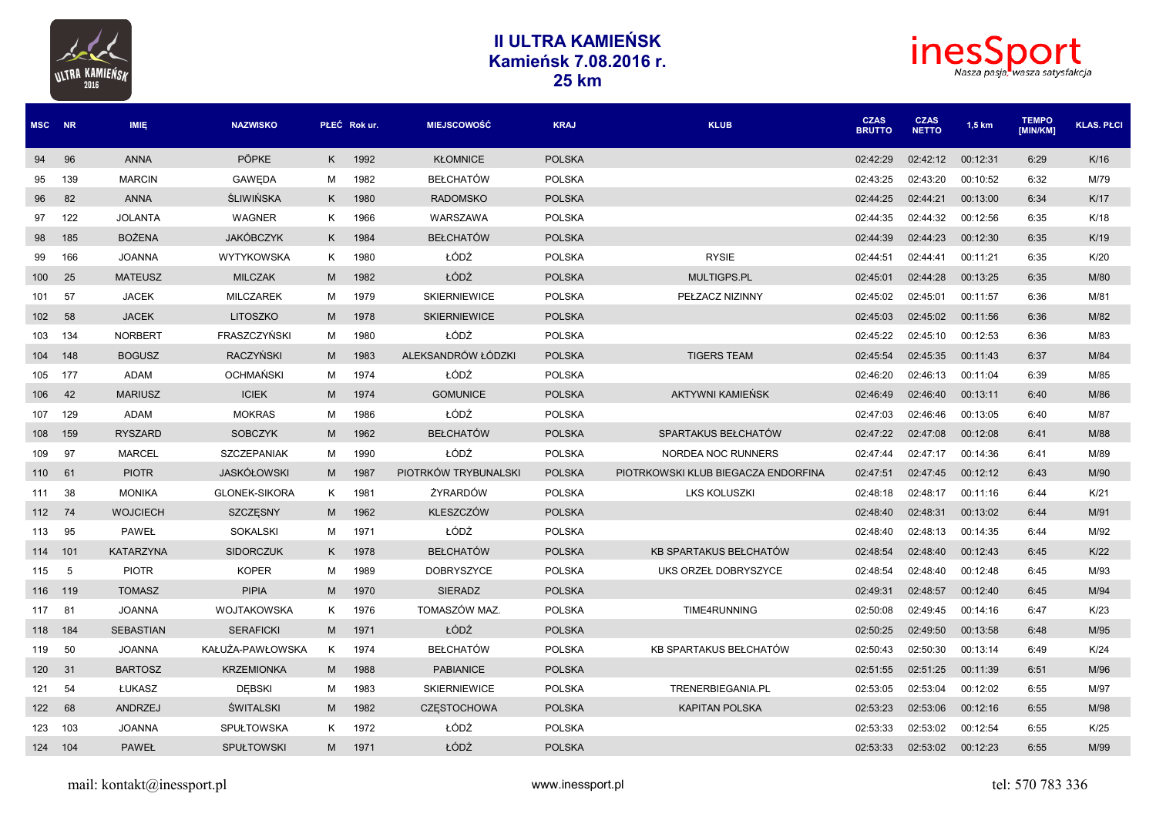



| MSC NR  |     | <b>IMIE</b>      | <b>NAZWISKO</b>      |   | PŁEĆ Rok ur. | <b>MIEJSCOWOŚĆ</b>   | <b>KRAJ</b>   | <b>KLUB</b>                         | <b>CZAS</b><br><b>BRUTTO</b> | <b>CZAS</b><br><b>NETTO</b> | 1,5 km   | <b>TEMPO</b><br><b>IMIN/KM1</b> | <b>KLAS. PŁCI</b> |
|---------|-----|------------------|----------------------|---|--------------|----------------------|---------------|-------------------------------------|------------------------------|-----------------------------|----------|---------------------------------|-------------------|
| 94      | 96  | <b>ANNA</b>      | <b>PÖPKE</b>         |   | K 1992       | <b>KŁOMNICE</b>      | <b>POLSKA</b> |                                     | 02:42:29                     | 02:42:12                    | 00:12:31 | 6:29                            | K/16              |
| 95      | 139 | <b>MARCIN</b>    | <b>GAWEDA</b>        | м | 1982         | <b>BEŁCHATÓW</b>     | <b>POLSKA</b> |                                     | 02:43:25                     | 02:43:20                    | 00:10:52 | 6:32                            | M/79              |
| 96      | 82  | <b>ANNA</b>      | <b>ŚLIWIŃSKA</b>     | K | 1980         | <b>RADOMSKO</b>      | <b>POLSKA</b> |                                     | 02:44:25                     | 02:44:21                    | 00:13:00 | 6:34                            | K/17              |
| 97      | 122 | <b>JOLANTA</b>   | WAGNER               | K | 1966         | WARSZAWA             | <b>POLSKA</b> |                                     | 02:44:35                     | 02:44:32                    | 00:12:56 | 6:35                            | K/18              |
| 98      | 185 | <b>BOŻENA</b>    | <b>JAKÓBCZYK</b>     | K | 1984         | <b>BEŁCHATÓW</b>     | <b>POLSKA</b> |                                     | 02:44:39                     | 02:44:23                    | 00:12:30 | 6:35                            | K/19              |
| 99      | 166 | <b>JOANNA</b>    | WYTYKOWSKA           | K | 1980         | ŁÓDŹ                 | <b>POLSKA</b> | <b>RYSIE</b>                        | 02:44:51                     | 02:44:41                    | 00:11:21 | 6:35                            | K/20              |
| 100     | 25  | <b>MATEUSZ</b>   | <b>MILCZAK</b>       | M | 1982         | ŁÓDŹ                 | <b>POLSKA</b> | MULTIGPS.PL                         | 02:45:01                     | 02:44:28                    | 00:13:25 | 6:35                            | M/80              |
| 101     | 57  | <b>JACEK</b>     | <b>MILCZAREK</b>     | M | 1979         | <b>SKIERNIEWICE</b>  | <b>POLSKA</b> | PEŁZACZ NIZINNY                     | 02:45:02                     | 02:45:01                    | 00:11:57 | 6:36                            | M/81              |
| 102     | 58  | <b>JACEK</b>     | <b>LITOSZKO</b>      | M | 1978         | <b>SKIERNIEWICE</b>  | <b>POLSKA</b> |                                     | 02:45:03                     | 02:45:02                    | 00:11:56 | 6:36                            | M/82              |
| 103     | 134 | <b>NORBERT</b>   | FRASZCZYŃSKI         | м | 1980         | ŁÓDŹ                 | <b>POLSKA</b> |                                     | 02:45:22                     | 02:45:10                    | 00:12:53 | 6:36                            | M/83              |
| 104     | 148 | <b>BOGUSZ</b>    | <b>RACZYŃSKI</b>     | M | 1983         | ALEKSANDRÓW ŁÓDZKI   | <b>POLSKA</b> | <b>TIGERS TEAM</b>                  | 02:45:54                     | 02:45:35                    | 00:11:43 | 6:37                            | M/84              |
| 105     | 177 | <b>ADAM</b>      | <b>OCHMAŃSKI</b>     | M | 1974         | ŁÓDŹ                 | <b>POLSKA</b> |                                     | 02:46:20                     | 02:46:13                    | 00:11:04 | 6:39                            | M/85              |
| 106     | 42  | <b>MARIUSZ</b>   | <b>ICIEK</b>         | M | 1974         | <b>GOMUNICE</b>      | <b>POLSKA</b> | AKTYWNI KAMIEŃSK                    | 02:46:49                     | 02:46:40                    | 00:13:11 | 6:40                            | M/86              |
| 107     | 129 | <b>ADAM</b>      | <b>MOKRAS</b>        | м | 1986         | ŁÓDŹ                 | <b>POLSKA</b> |                                     | 02:47:03                     | 02:46:46                    | 00:13:05 | 6:40                            | M/87              |
| 108     | 159 | <b>RYSZARD</b>   | <b>SOBCZYK</b>       | M | 1962         | <b>BEŁCHATÓW</b>     | <b>POLSKA</b> | SPARTAKUS BEŁCHATÓW                 | 02:47:22                     | 02:47:08                    | 00:12:08 | 6:41                            | M/88              |
| 109     | 97  | <b>MARCEL</b>    | <b>SZCZEPANIAK</b>   | м | 1990         | ŁÓDŹ                 | <b>POLSKA</b> | NORDEA NOC RUNNERS                  | 02:47:44                     | 02:47:17                    | 00:14:36 | 6:41                            | M/89              |
| 110 61  |     | <b>PIOTR</b>     | <b>JASKÓŁOWSKI</b>   | M | 1987         | PIOTRKÓW TRYBUNALSKI | <b>POLSKA</b> | PIOTRKOWSKI KLUB BIEGACZA ENDORFINA | 02:47:51                     | 02:47:45                    | 00:12:12 | 6:43                            | M/90              |
| 111     | 38  | <b>MONIKA</b>    | <b>GLONEK-SIKORA</b> | K | 1981         | ŻYRARDÓW             | <b>POLSKA</b> | LKS KOLUSZKI                        | 02:48:18                     | 02:48:17                    | 00:11:16 | 6:44                            | K/21              |
| 112     | 74  | <b>WOJCIECH</b>  | SZCZESNY             | M | 1962         | <b>KLESZCZÓW</b>     | <b>POLSKA</b> |                                     | 02:48:40                     | 02:48:31                    | 00:13:02 | 6:44                            | M/91              |
| 113     | 95  | <b>PAWEŁ</b>     | <b>SOKALSKI</b>      | м | 1971         | ŁÓDŻ                 | <b>POLSKA</b> |                                     | 02:48:40                     | 02:48:13                    | 00:14:35 | 6:44                            | M/92              |
| 114     | 101 | <b>KATARZYNA</b> | <b>SIDORCZUK</b>     | K | 1978         | <b>BEŁCHATÓW</b>     | <b>POLSKA</b> | KB SPARTAKUS BEŁCHATÓW              | 02:48:54                     | 02:48:40                    | 00:12:43 | 6:45                            | K/22              |
| 115     | 5   | <b>PIOTR</b>     | <b>KOPER</b>         | м | 1989         | <b>DOBRYSZYCE</b>    | <b>POLSKA</b> | UKS ORZEŁ DOBRYSZYCE                | 02:48:54                     | 02:48:40                    | 00:12:48 | 6:45                            | M/93              |
| 116     | 119 | <b>TOMASZ</b>    | <b>PIPIA</b>         | M | 1970         | <b>SIERADZ</b>       | <b>POLSKA</b> |                                     | 02:49:31                     | 02:48:57                    | 00:12:40 | 6:45                            | M/94              |
| 117     | 81  | <b>JOANNA</b>    | <b>WOJTAKOWSKA</b>   | K | 1976         | TOMASZÓW MAZ.        | <b>POLSKA</b> | TIME4RUNNING                        | 02:50:08                     | 02:49:45                    | 00:14:16 | 6:47                            | K/23              |
| 118     | 184 | <b>SEBASTIAN</b> | <b>SERAFICKI</b>     | M | 1971         | ŁÓDŹ                 | <b>POLSKA</b> |                                     | 02:50:25                     | 02:49:50                    | 00:13:58 | 6:48                            | M/95              |
| 119     | 50  | <b>JOANNA</b>    | KAŁUŻA-PAWŁOWSKA     | K | 1974         | <b>BEŁCHATÓW</b>     | <b>POLSKA</b> | KB SPARTAKUS BEŁCHATÓW              | 02:50:43                     | 02:50:30                    | 00:13:14 | 6:49                            | K/24              |
| 120     | 31  | <b>BARTOSZ</b>   | <b>KRZEMIONKA</b>    | M | 1988         | <b>PABIANICE</b>     | <b>POLSKA</b> |                                     | 02:51:55                     | 02:51:25                    | 00:11:39 | 6:51                            | M/96              |
| 121     | 54  | <b>ŁUKASZ</b>    | <b>DEBSKI</b>        | м | 1983         | <b>SKIERNIEWICE</b>  | <b>POLSKA</b> | TRENERBIEGANIA.PL                   | 02:53:05                     | 02:53:04                    | 00:12:02 | 6:55                            | M/97              |
| 122     | 68  | <b>ANDRZEJ</b>   | <b>ŚWITALSKI</b>     | M | 1982         | <b>CZESTOCHOWA</b>   | <b>POLSKA</b> | <b>KAPITAN POLSKA</b>               | 02:53:23                     | 02:53:06                    | 00:12:16 | 6:55                            | M/98              |
| 123     | 103 | <b>JOANNA</b>    | SPUŁTOWSKA           | K | 1972         | ŁÓDŹ                 | <b>POLSKA</b> |                                     | 02:53:33                     | 02:53:02                    | 00:12:54 | 6:55                            | K/25              |
| 124 104 |     | <b>PAWEŁ</b>     | <b>SPUŁTOWSKI</b>    | M | 1971         | ŁÓDŹ                 | <b>POLSKA</b> |                                     | 02:53:33                     | 02:53:02                    | 00:12:23 | 6:55                            | M/99              |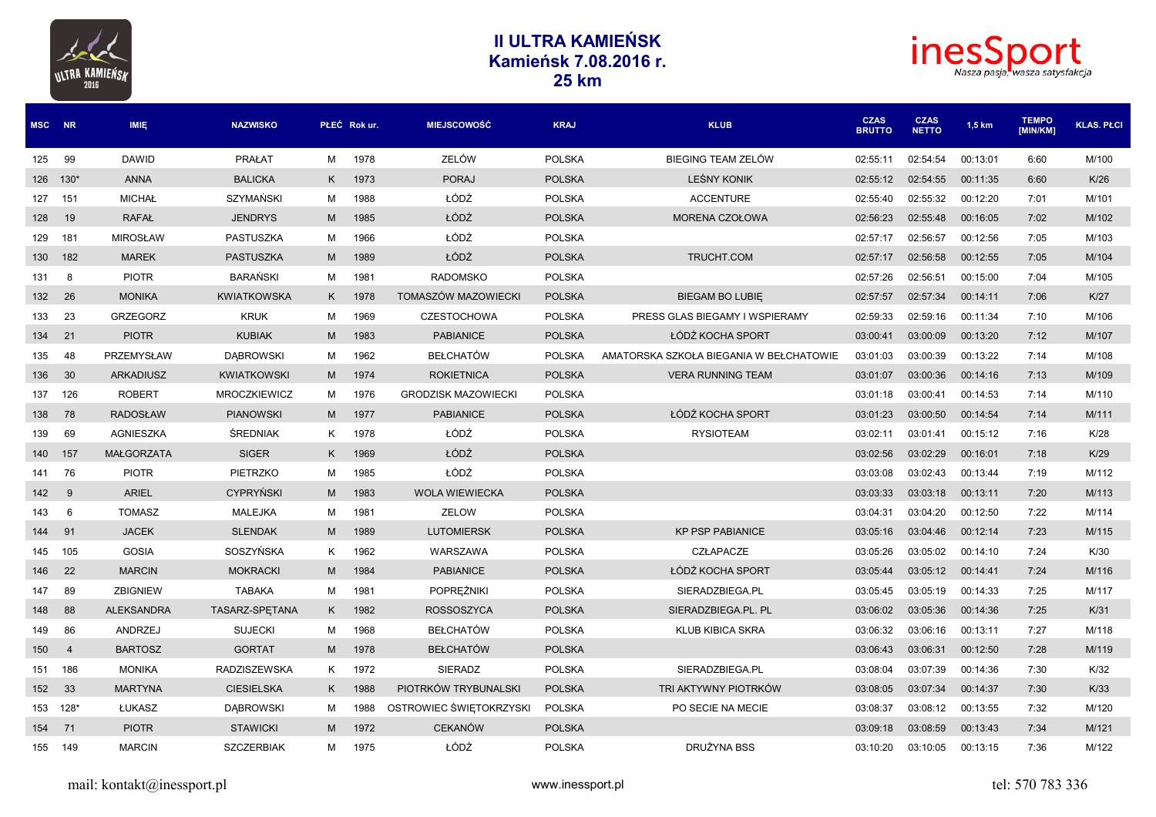



| MSC NR   |                | <b>IMIE</b>       | <b>NAZWISKO</b>     |   | PŁEĆ Rok ur. | <b>MIEJSCOWOŚĆ</b>         | <b>KRAJ</b>   | <b>KLUB</b>                             | <b>CZAS</b><br><b>BRUTTO</b> | <b>CZAS</b><br><b>NETTO</b> | $1,5$ km | <b>TEMPO</b><br><b>IMIN/KM1</b> | <b>KLAS. PŁCI</b> |
|----------|----------------|-------------------|---------------------|---|--------------|----------------------------|---------------|-----------------------------------------|------------------------------|-----------------------------|----------|---------------------------------|-------------------|
| 125      | 99             | <b>DAWID</b>      | PRAŁAT              | M | 1978         | ZELÓW                      | <b>POLSKA</b> | BIEGING TEAM ZELÓW                      | 02:55:11                     | 02:54:54                    | 00:13:01 | 6:60                            | M/100             |
| 126 130* |                | <b>ANNA</b>       | <b>BALICKA</b>      | K | 1973         | <b>PORAJ</b>               | <b>POLSKA</b> | <b>LEŚNY KONIK</b>                      | 02:55:12                     | 02:54:55                    | 00:11:35 | 6:60                            | K/26              |
| 127      | 151            | <b>MICHAŁ</b>     | SZYMAŃSKI           | M | 1988         | ŁÓDŹ                       | <b>POLSKA</b> | <b>ACCENTURE</b>                        | 02:55:40                     | 02:55:32                    | 00:12:20 | 7:01                            | M/101             |
| 128      | 19             | <b>RAFAL</b>      | <b>JENDRYS</b>      | M | 1985         | ŁÓDŹ                       | <b>POLSKA</b> | MORENA CZOŁOWA                          | 02:56:23                     | 02:55:48                    | 00:16:05 | 7:02                            | M/102             |
| 129      | 181            | <b>MIROSŁAW</b>   | <b>PASTUSZKA</b>    | M | 1966         | ŁÓDŹ                       | <b>POLSKA</b> |                                         | 02:57:17                     | 02:56:57                    | 00:12:56 | 7:05                            | M/103             |
| 130      | 182            | <b>MAREK</b>      | <b>PASTUSZKA</b>    | M | 1989         | ŁÓDŹ                       | <b>POLSKA</b> | TRUCHT.COM                              | 02:57:17                     | 02:56:58                    | 00:12:55 | 7:05                            | M/104             |
| 131      | 8              | <b>PIOTR</b>      | <b>BARAŃSKI</b>     | м | 1981         | <b>RADOMSKO</b>            | <b>POLSKA</b> |                                         | 02:57:26                     | 02:56:51                    | 00:15:00 | 7:04                            | M/105             |
| 132      | 26             | <b>MONIKA</b>     | <b>KWIATKOWSKA</b>  | K | 1978         | TOMASZÓW MAZOWIECKI        | <b>POLSKA</b> | <b>BIEGAM BO LUBIE</b>                  | 02:57:57                     | 02:57:34                    | 00:14:11 | 7:06                            | K/27              |
| 133      | 23             | <b>GRZEGORZ</b>   | <b>KRUK</b>         | M | 1969         | <b>CZESTOCHOWA</b>         | <b>POLSKA</b> | PRESS GLAS BIEGAMY I WSPIERAMY          | 02:59:33                     | 02:59:16                    | 00:11:34 | 7:10                            | M/106             |
| 134      | 21             | <b>PIOTR</b>      | <b>KUBIAK</b>       | M | 1983         | <b>PABIANICE</b>           | <b>POLSKA</b> | ŁÓDŹ KOCHA SPORT                        | 03:00:41                     | 03:00:09                    | 00:13:20 | 7:12                            | M/107             |
| 135      | 48             | PRZEMYSŁAW        | <b>DABROWSKI</b>    | M | 1962         | <b>BEŁCHATÓW</b>           | <b>POLSKA</b> | AMATORSKA SZKOŁA BIEGANIA W BEŁCHATOWIE | 03:01:03                     | 03:00:39                    | 00:13:22 | 7:14                            | M/108             |
| 136      | 30             | <b>ARKADIUSZ</b>  | <b>KWIATKOWSKI</b>  | M | 1974         | <b>ROKIETNICA</b>          | <b>POLSKA</b> | <b>VERA RUNNING TEAM</b>                | 03:01:07                     | 03:00:36                    | 00:14:16 | 7:13                            | M/109             |
| 137      | 126            | <b>ROBERT</b>     | <b>MROCZKIEWICZ</b> | м | 1976         | <b>GRODZISK MAZOWIECKI</b> | <b>POLSKA</b> |                                         | 03:01:18                     | 03:00:41                    | 00:14:53 | 7:14                            | M/110             |
| 138      | 78             | <b>RADOSŁAW</b>   | <b>PIANOWSKI</b>    | M | 1977         | <b>PABIANICE</b>           | <b>POLSKA</b> | ŁÓDŹ KOCHA SPORT                        | 03:01:23                     | 03:00:50                    | 00:14:54 | 7:14                            | M/111             |
| 139      | 69             | AGNIESZKA         | <b>ŚREDNIAK</b>     | K | 1978         | ŁÓDŹ                       | <b>POLSKA</b> | <b>RYSIOTEAM</b>                        | 03:02:11                     | 03:01:41                    | 00:15:12 | 7:16                            | K/28              |
| 140      | 157            | <b>MAŁGORZATA</b> | <b>SIGER</b>        | K | 1969         | ŁÓDŹ                       | <b>POLSKA</b> |                                         | 03:02:56                     | 03:02:29                    | 00:16:01 | 7:18                            | K/29              |
| 141      | 76             | <b>PIOTR</b>      | <b>PIETRZKO</b>     | м | 1985         | ŁÓDŹ                       | <b>POLSKA</b> |                                         | 03:03:08                     | 03:02:43                    | 00:13:44 | 7:19                            | M/112             |
| 142      | 9              | <b>ARIEL</b>      | <b>CYPRYŃSKI</b>    | M | 1983         | <b>WOLA WIEWIECKA</b>      | <b>POLSKA</b> |                                         | 03:03:33                     | 03:03:18                    | 00:13:11 | 7:20                            | M/113             |
| 143      | 6              | <b>TOMASZ</b>     | <b>MALEJKA</b>      | м | 1981         | ZELOW                      | <b>POLSKA</b> |                                         | 03:04:31                     | 03:04:20                    | 00:12:50 | 7:22                            | M/114             |
| 144      | 91             | <b>JACEK</b>      | <b>SLENDAK</b>      | M | 1989         | <b>LUTOMIERSK</b>          | <b>POLSKA</b> | <b>KP PSP PABIANICE</b>                 | 03:05:16                     | 03:04:46                    | 00:12:14 | 7:23                            | M/115             |
| 145      | 105            | <b>GOSIA</b>      | SOSZYŃSKA           | K | 1962         | WARSZAWA                   | <b>POLSKA</b> | CZŁAPACZE                               | 03:05:26                     | 03:05:02                    | 00:14:10 | 7:24                            | K/30              |
| 146      | 22             | <b>MARCIN</b>     | <b>MOKRACKI</b>     | M | 1984         | <b>PABIANICE</b>           | <b>POLSKA</b> | ŁÓDŻ KOCHA SPORT                        | 03:05:44                     | 03:05:12                    | 00:14:41 | 7:24                            | M/116             |
| 147      | 89             | <b>ZBIGNIEW</b>   | <b>TABAKA</b>       | M | 1981         | POPRĘŻNIKI                 | <b>POLSKA</b> | SIERADZBIEGA.PL                         | 03:05:45                     | 03:05:19                    | 00:14:33 | 7:25                            | M/117             |
| 148      | 88             | <b>ALEKSANDRA</b> | TASARZ-SPETANA      | K | 1982         | <b>ROSSOSZYCA</b>          | <b>POLSKA</b> | SIERADZBIEGA.PL. PL                     | 03:06:02                     | 03:05:36                    | 00:14:36 | 7:25                            | K/31              |
| 149      | 86             | ANDRZEJ           | <b>SUJECKI</b>      | м | 1968         | <b>BEŁCHATÓW</b>           | <b>POLSKA</b> | <b>KLUB KIBICA SKRA</b>                 | 03:06:32                     | 03:06:16                    | 00:13:11 | 7:27                            | M/118             |
| 150      | $\overline{4}$ | <b>BARTOSZ</b>    | <b>GORTAT</b>       | M | 1978         | <b>BEŁCHATÓW</b>           | <b>POLSKA</b> |                                         | 03:06:43                     | 03:06:31                    | 00:12:50 | 7:28                            | M/119             |
| 151      | 186            | <b>MONIKA</b>     | <b>RADZISZEWSKA</b> | K | 1972         | <b>SIERADZ</b>             | <b>POLSKA</b> | SIERADZBIEGA.PL                         | 03:08:04                     | 03:07:39                    | 00:14:36 | 7:30                            | K/32              |
| 152      | 33             | <b>MARTYNA</b>    | <b>CIESIELSKA</b>   | K | 1988         | PIOTRKÓW TRYBUNALSKI       | <b>POLSKA</b> | TRI AKTYWNY PIOTRKÓW                    | 03:08:05                     | 03:07:34                    | 00:14:37 | 7:30                            | K/33              |
| 153 128* |                | ŁUKASZ            | <b>DABROWSKI</b>    | м | 1988         | OSTROWIEC ŚWIĘTOKRZYSKI    | <b>POLSKA</b> | PO SECIE NA MECIE                       | 03:08:37                     | 03:08:12                    | 00:13:55 | 7:32                            | M/120             |
| 154      | 71             | <b>PIOTR</b>      | <b>STAWICKI</b>     | M | 1972         | <b>CEKANÓW</b>             | <b>POLSKA</b> |                                         | 03:09:18                     | 03:08:59                    | 00:13:43 | 7:34                            | M/121             |
| 155 149  |                | <b>MARCIN</b>     | <b>SZCZERBIAK</b>   | м | 1975         | ŁÓDŹ                       | <b>POLSKA</b> | <b>DRUŻYNA BSS</b>                      | 03:10:20                     | 03:10:05                    | 00:13:15 | 7:36                            | M/122             |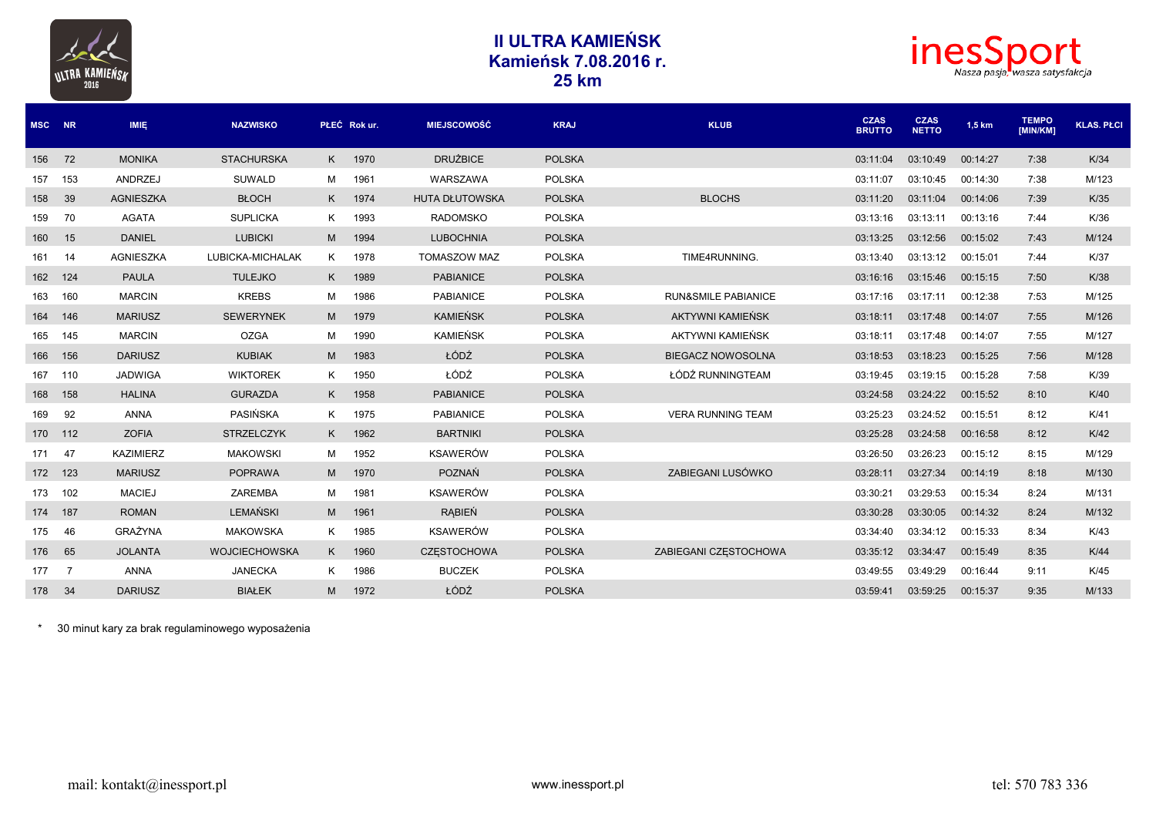



| MSC NR  |     | <b>IMIE</b>      | <b>NAZWISKO</b>      |   | PŁEĆ Rok ur. | <b>MIEJSCOWOŚĆ</b>    | <b>KRAJ</b>   | <b>KLUB</b>                    | <b>CZAS</b><br><b>BRUTTO</b> | <b>CZAS</b><br><b>NETTO</b> | 1,5 km   | <b>TEMPO</b><br><b>IMIN/KM1</b> | <b>KLAS, PŁCI</b> |
|---------|-----|------------------|----------------------|---|--------------|-----------------------|---------------|--------------------------------|------------------------------|-----------------------------|----------|---------------------------------|-------------------|
| 156     | 72  | <b>MONIKA</b>    | <b>STACHURSKA</b>    |   | K 1970       | <b>DRUŻBICE</b>       | <b>POLSKA</b> |                                | 03:11:04                     | 03:10:49                    | 00:14:27 | 7:38                            | K/34              |
| 157     | 153 | ANDRZEJ          | <b>SUWALD</b>        | м | 1961         | <b>WARSZAWA</b>       | <b>POLSKA</b> |                                | 03:11:07                     | 03:10:45                    | 00:14:30 | 7:38                            | M/123             |
| 158     | 39  | <b>AGNIESZKA</b> | <b>BŁOCH</b>         | K | 1974         | <b>HUTA DŁUTOWSKA</b> | <b>POLSKA</b> | <b>BLOCHS</b>                  | 03:11:20                     | 03:11:04                    | 00:14:06 | 7:39                            | K/35              |
| 159     | 70  | <b>AGATA</b>     | <b>SUPLICKA</b>      | K | 1993         | <b>RADOMSKO</b>       | <b>POLSKA</b> |                                | 03:13:16                     | 03:13:11                    | 00:13:16 | 7:44                            | K/36              |
| 160     | 15  | <b>DANIEL</b>    | <b>LUBICKI</b>       | M | 1994         | <b>LUBOCHNIA</b>      | <b>POLSKA</b> |                                | 03:13:25                     | 03:12:56                    | 00:15:02 | 7:43                            | M/124             |
| 161     | 14  | AGNIESZKA        | LUBICKA-MICHALAK     | K | 1978         | <b>TOMASZOW MAZ</b>   | <b>POLSKA</b> | TIME4RUNNING.                  | 03:13:40                     | 03:13:12                    | 00:15:01 | 7:44                            | K/37              |
| 162     | 124 | <b>PAULA</b>     | <b>TULEJKO</b>       | K | 1989         | <b>PABIANICE</b>      | <b>POLSKA</b> |                                | 03:16:16                     | 03:15:46                    | 00:15:15 | 7:50                            | K/38              |
| 163     | 160 | <b>MARCIN</b>    | <b>KREBS</b>         | м | 1986         | <b>PABIANICE</b>      | <b>POLSKA</b> | <b>RUN&amp;SMILE PABIANICE</b> | 03:17:16                     | 03:17:11                    | 00:12:38 | 7:53                            | M/125             |
| 164     | 146 | <b>MARIUSZ</b>   | <b>SEWERYNEK</b>     | M | 1979         | <b>KAMIEŃSK</b>       | <b>POLSKA</b> | AKTYWNI KAMIEŃSK               | 03:18:11                     | 03:17:48                    | 00:14:07 | 7:55                            | M/126             |
| 165     | 145 | <b>MARCIN</b>    | <b>OZGA</b>          | м | 1990         | <b>KAMIEŃSK</b>       | <b>POLSKA</b> | AKTYWNI KAMIEŃSK               | 03:18:11                     | 03:17:48                    | 00:14:07 | 7:55                            | M/127             |
| 166     | 156 | <b>DARIUSZ</b>   | <b>KUBIAK</b>        | M | 1983         | ŁÓDŹ                  | <b>POLSKA</b> | <b>BIEGACZ NOWOSOLNA</b>       | 03:18:53                     | 03:18:23                    | 00:15:25 | 7:56                            | M/128             |
| 167     | 110 | <b>JADWIGA</b>   | <b>WIKTOREK</b>      | K | 1950         | ŁÓDŹ                  | <b>POLSKA</b> | ŁÓDŹ RUNNINGTEAM               | 03:19:45                     | 03:19:15                    | 00:15:28 | 7:58                            | K/39              |
| 168     | 158 | <b>HALINA</b>    | <b>GURAZDA</b>       | K | 1958         | <b>PABIANICE</b>      | <b>POLSKA</b> |                                | 03:24:58                     | 03:24:22                    | 00:15:52 | 8:10                            | K/40              |
| 169     | 92  | <b>ANNA</b>      | <b>PASIŃSKA</b>      | K | 1975         | <b>PABIANICE</b>      | <b>POLSKA</b> | <b>VERA RUNNING TEAM</b>       | 03:25:23                     | 03:24:52                    | 00:15:51 | 8:12                            | K/41              |
| 170 112 |     | <b>ZOFIA</b>     | <b>STRZELCZYK</b>    | K | 1962         | <b>BARTNIKI</b>       | <b>POLSKA</b> |                                | 03:25:28                     | 03:24:58                    | 00:16:58 | 8:12                            | K/42              |
| 171     | 47  | <b>KAZIMIERZ</b> | <b>MAKOWSKI</b>      | м | 1952         | <b>KSAWERÓW</b>       | <b>POLSKA</b> |                                | 03:26:50                     | 03:26:23                    | 00:15:12 | 8:15                            | M/129             |
| 172     | 123 | <b>MARIUSZ</b>   | <b>POPRAWA</b>       | M | 1970         | POZNAŃ                | <b>POLSKA</b> | ZABIEGANI LUSÓWKO              | 03:28:11                     | 03:27:34                    | 00:14:19 | 8:18                            | M/130             |
| 173     | 102 | <b>MACIEJ</b>    | <b>ZAREMBA</b>       | м | 1981         | <b>KSAWERÓW</b>       | <b>POLSKA</b> |                                | 03:30:21                     | 03:29:53                    | 00:15:34 | 8:24                            | M/131             |
| 174     | 187 | <b>ROMAN</b>     | <b>LEMAŃSKI</b>      | M | 1961         | <b>RABIEŃ</b>         | <b>POLSKA</b> |                                | 03:30:28                     | 03:30:05                    | 00:14:32 | 8:24                            | M/132             |
| 175     | 46  | GRAŻYNA          | <b>MAKOWSKA</b>      | K | 1985         | <b>KSAWERÓW</b>       | <b>POLSKA</b> |                                | 03:34:40                     | 03:34:12                    | 00:15:33 | 8:34                            | K/43              |
| 176     | 65  | <b>JOLANTA</b>   | <b>WOJCIECHOWSKA</b> | K | 1960         | <b>CZESTOCHOWA</b>    | <b>POLSKA</b> | ZABIEGANI CZESTOCHOWA          | 03:35:12                     | 03:34:47                    | 00:15:49 | 8:35                            | K/44              |
| 177     | 7   | <b>ANNA</b>      | <b>JANECKA</b>       | K | 1986         | <b>BUCZEK</b>         | <b>POLSKA</b> |                                | 03:49:55                     | 03:49:29                    | 00:16:44 | 9:11                            | K/45              |
| 178     | 34  | <b>DARIUSZ</b>   | <b>BIAŁEK</b>        | M | 1972         | ŁÓDŹ                  | <b>POLSKA</b> |                                | 03:59:41                     | 03:59:25                    | 00:15:37 | 9:35                            | M/133             |

\* 30 minut kary za brak regulaminowego wyposażenia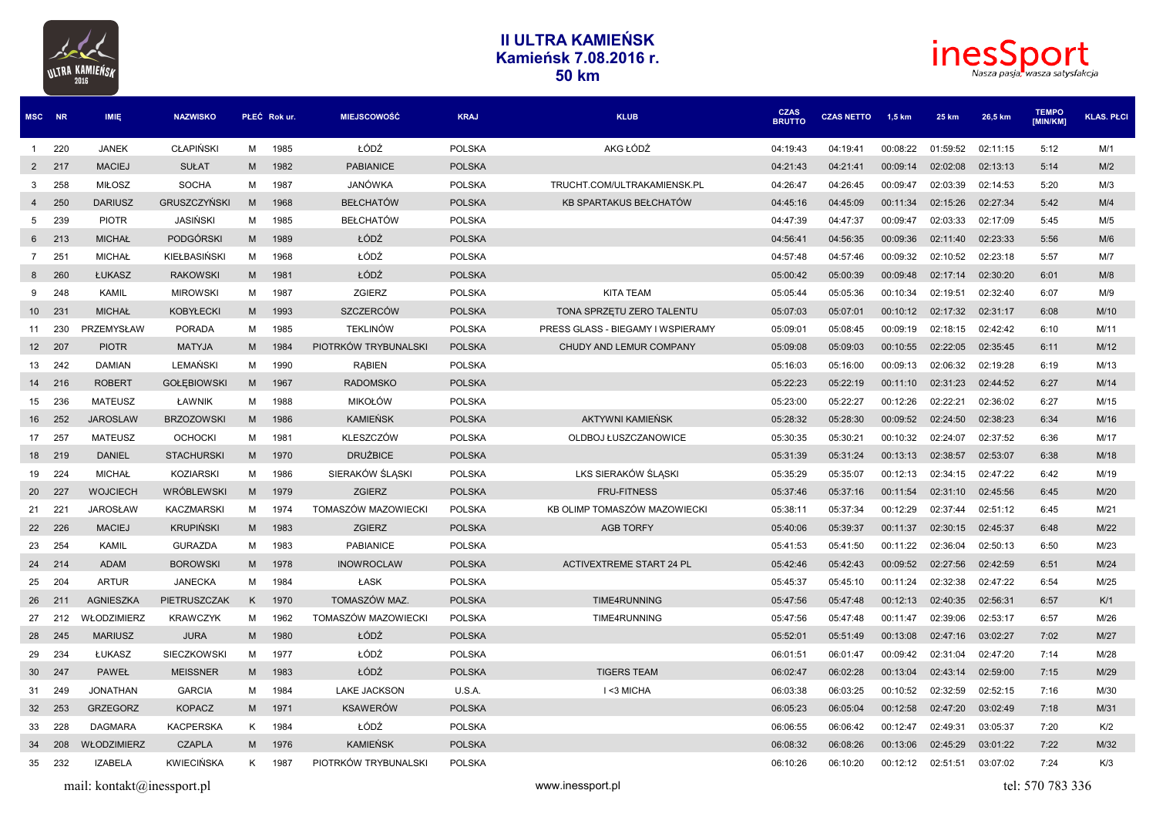



| MSC NR          |        | <b>IMIE</b>        | <b>NAZWISKO</b>     | PŁEĆ Rok ur. |      | <b>MIEJSCOWOŚĆ</b>   | <b>KRAJ</b>   | <b>KLUB</b>                       | <b>CZAS</b><br><b>BRUTTO</b> | <b>CZAS NETTO</b> | 1,5 km   | 25 km    | 26,5 km  | <b>TEMPO</b><br>[MIN/KM] | <b>KLAS. PŁCI</b> |
|-----------------|--------|--------------------|---------------------|--------------|------|----------------------|---------------|-----------------------------------|------------------------------|-------------------|----------|----------|----------|--------------------------|-------------------|
| $\sim$ 1        | 220    | <b>JANEK</b>       | <b>CLAPIŃSKI</b>    | М            | 1985 | ŁÓDŹ                 | <b>POLSKA</b> | AKG ŁÓDŹ                          | 04:19:43                     | 04:19:41          | 00:08:22 | 01:59:52 | 02:11:15 | 5:12                     | M/1               |
| $2^{\circ}$     | 217    | <b>MACIEJ</b>      | <b>SUŁAT</b>        | M            | 1982 | <b>PABIANICE</b>     | <b>POLSKA</b> |                                   | 04:21:43                     | 04:21:41          | 00:09:14 | 02:02:08 | 02:13:13 | 5:14                     | M/2               |
| 3               | 258    | <b>MIŁOSZ</b>      | <b>SOCHA</b>        | м            | 1987 | JANÓWKA              | <b>POLSKA</b> | TRUCHT.COM/ULTRAKAMIENSK.PL       | 04:26:47                     | 04:26:45          | 00:09:47 | 02:03:39 | 02:14:53 | 5:20                     | M/3               |
| $4\overline{ }$ | 250    | <b>DARIUSZ</b>     | <b>GRUSZCZYŃSKI</b> | M            | 1968 | <b>BEŁCHATÓW</b>     | <b>POLSKA</b> | KB SPARTAKUS BEŁCHATÓW            | 04:45:16                     | 04:45:09          | 00:11:34 | 02:15:26 | 02:27:34 | 5:42                     | M/4               |
| 5               | 239    | <b>PIOTR</b>       | <b>JASIŃSKI</b>     | м            | 1985 | <b>BEŁCHATÓW</b>     | <b>POLSKA</b> |                                   | 04:47:39                     | 04:47:37          | 00:09:47 | 02:03:33 | 02:17:09 | 5:45                     | M/5               |
| 6               | 213    | <b>MICHAŁ</b>      | PODGÓRSKI           | M            | 1989 | ŁÓDŹ                 | <b>POLSKA</b> |                                   | 04:56:41                     | 04:56:35          | 00:09:36 | 02:11:40 | 02:23:33 | 5:56                     | M/6               |
| $7\overline{ }$ | 251    | <b>MICHAŁ</b>      | KIEŁBASIŃSKI        | M            | 1968 | ŁÓDŹ                 | <b>POLSKA</b> |                                   | 04:57:48                     | 04:57:46          | 00:09:32 | 02:10:52 | 02:23:18 | 5:57                     | M/7               |
| 8               | 260    | <b>ŁUKASZ</b>      | <b>RAKOWSKI</b>     | M            | 1981 | ŁÓDŹ                 | <b>POLSKA</b> |                                   | 05:00:42                     | 05:00:39          | 00:09:48 | 02:17:14 | 02:30:20 | 6:01                     | M/8               |
| 9               | 248    | <b>KAMIL</b>       | <b>MIROWSKI</b>     | м            | 1987 | <b>ZGIERZ</b>        | <b>POLSKA</b> | <b>KITA TEAM</b>                  | 05:05:44                     | 05:05:36          | 00:10:34 | 02:19:51 | 02:32:40 | 6:07                     | M/9               |
| 10 <sup>1</sup> | 231    | <b>MICHAŁ</b>      | <b>KOBYŁECKI</b>    | M            | 1993 | SZCZERCÓW            | <b>POLSKA</b> | TONA SPRZETU ZERO TALENTU         | 05:07:03                     | 05:07:01          | 00:10:12 | 02:17:32 | 02:31:17 | 6:08                     | M/10              |
| 11              | 230    | PRZEMYSŁAW         | <b>PORADA</b>       | м            | 1985 | <b>TEKLINÓW</b>      | <b>POLSKA</b> | PRESS GLASS - BIEGAMY I WSPIERAMY | 05:09:01                     | 05:08:45          | 00:09:19 | 02:18:15 | 02:42:42 | 6:10                     | M/11              |
|                 | 12 207 | <b>PIOTR</b>       | <b>MATYJA</b>       | M            | 1984 | PIOTRKÓW TRYBUNALSKI | <b>POLSKA</b> | CHUDY AND LEMUR COMPANY           | 05:09:08                     | 05:09:03          | 00:10:55 | 02:22:05 | 02:35:45 | 6:11                     | M/12              |
| 13              | 242    | <b>DAMIAN</b>      | LEMAŃSKI            | м            | 1990 | <b>RABIEN</b>        | <b>POLSKA</b> |                                   | 05:16:03                     | 05:16:00          | 00:09:13 | 02:06:32 | 02:19:28 | 6:19                     | M/13              |
| 14              | 216    | <b>ROBERT</b>      | <b>GOŁEBIOWSKI</b>  | M            | 1967 | <b>RADOMSKO</b>      | <b>POLSKA</b> |                                   | 05:22:23                     | 05:22:19          | 00:11:10 | 02:31:23 | 02:44:52 | 6:27                     | M/14              |
| 15              | 236    | <b>MATEUSZ</b>     | ŁAWNIK              | м            | 1988 | <b>MIKOŁÓW</b>       | <b>POLSKA</b> |                                   | 05:23:00                     | 05:22:27          | 00:12:26 | 02:22:21 | 02:36:02 | 6:27                     | M/15              |
|                 | 16 252 | <b>JAROSLAW</b>    | <b>BRZOZOWSKI</b>   | M            | 1986 | <b>KAMIEŃSK</b>      | <b>POLSKA</b> | AKTYWNI KAMIEŃSK                  | 05:28:32                     | 05:28:30          | 00:09:52 | 02:24:50 | 02:38:23 | 6:34                     | M/16              |
| 17              | 257    | <b>MATEUSZ</b>     | <b>OCHOCKI</b>      | м            | 1981 | KLESZCZÓW            | <b>POLSKA</b> | OLDBOJ ŁUSZCZANOWICE              | 05:30:35                     | 05:30:21          | 00:10:32 | 02:24:07 | 02:37:52 | 6:36                     | M/17              |
|                 | 18 219 | <b>DANIEL</b>      | <b>STACHURSKI</b>   | M            | 1970 | <b>DRUŻBICE</b>      | <b>POLSKA</b> |                                   | 05:31:39                     | 05:31:24          | 00:13:13 | 02:38:57 | 02:53:07 | 6:38                     | M/18              |
| 19              | 224    | <b>MICHAŁ</b>      | <b>KOZIARSKI</b>    | м            | 1986 | SIERAKÓW ŚLĄSKI      | <b>POLSKA</b> | LKS SIERAKÓW ŚLĄSKI               | 05:35:29                     | 05:35:07          | 00:12:13 | 02:34:15 | 02:47:22 | 6:42                     | M/19              |
| <b>20</b>       | 227    | <b>WOJCIECH</b>    | WRÓBLEWSKI          | M            | 1979 | <b>ZGIERZ</b>        | <b>POLSKA</b> | <b>FRU-FITNESS</b>                | 05:37:46                     | 05:37:16          | 00:11:54 | 02:31:10 | 02:45:56 | 6:45                     | M/20              |
| 21              | 221    | <b>JAROSŁAW</b>    | <b>KACZMARSKI</b>   | M            | 1974 | TOMASZÓW MAZOWIECKI  | <b>POLSKA</b> | KB OLIMP TOMASZÓW MAZOWIECKI      | 05:38:11                     | 05:37:34          | 00:12:29 | 02:37:44 | 02:51:12 | 6:45                     | M/21              |
| 22              | 226    | <b>MACIEJ</b>      | <b>KRUPIŃSKI</b>    | M            | 1983 | <b>ZGIERZ</b>        | <b>POLSKA</b> | <b>AGB TORFY</b>                  | 05:40:06                     | 05:39:37          | 00:11:37 | 02:30:15 | 02:45:37 | 6:48                     | M/22              |
| 23              | 254    | <b>KAMIL</b>       | <b>GURAZDA</b>      | м            | 1983 | <b>PABIANICE</b>     | <b>POLSKA</b> |                                   | 05:41:53                     | 05:41:50          | 00:11:22 | 02:36:04 | 02:50:13 | 6:50                     | M/23              |
| 24              | 214    | <b>ADAM</b>        | <b>BOROWSKI</b>     | M            | 1978 | <b>INOWROCLAW</b>    | <b>POLSKA</b> | <b>ACTIVEXTREME START 24 PL</b>   | 05:42:46                     | 05:42:43          | 00:09:52 | 02:27:56 | 02:42:59 | 6:51                     | M/24              |
| 25              | 204    | <b>ARTUR</b>       | <b>JANECKA</b>      | м            | 1984 | ŁASK                 | <b>POLSKA</b> |                                   | 05:45:37                     | 05:45:10          | 00:11:24 | 02:32:38 | 02:47:22 | 6:54                     | M/25              |
| 26              | 211    | <b>AGNIESZKA</b>   | PIETRUSZCZAK        | K            | 1970 | TOMASZÓW MAZ.        | <b>POLSKA</b> | TIME4RUNNING                      | 05:47:56                     | 05:47:48          | 00:12:13 | 02:40:35 | 02:56:31 | 6:57                     | K/1               |
| 27              | 212    | WŁODZIMIERZ        | <b>KRAWCZYK</b>     | м            | 1962 | TOMASZÓW MAZOWIECKI  | <b>POLSKA</b> | TIME4RUNNING                      | 05:47:56                     | 05:47:48          | 00:11:47 | 02:39:06 | 02:53:17 | 6:57                     | M/26              |
| 28              | 245    | <b>MARIUSZ</b>     | <b>JURA</b>         | M            | 1980 | ŁÓDŹ                 | <b>POLSKA</b> |                                   | 05:52:01                     | 05:51:49          | 00:13:08 | 02:47:16 | 03:02:27 | 7:02                     | M/27              |
| 29              | 234    | ŁUKASZ             | SIECZKOWSKI         | M            | 1977 | ŁÓDŹ                 | <b>POLSKA</b> |                                   | 06:01:51                     | 06:01:47          | 00:09:42 | 02:31:04 | 02:47:20 | 7:14                     | M/28              |
| 30              | 247    | <b>PAWEŁ</b>       | <b>MEISSNER</b>     | M            | 1983 | ŁÓDŹ                 | <b>POLSKA</b> | <b>TIGERS TEAM</b>                | 06:02:47                     | 06:02:28          | 00:13:04 | 02:43:14 | 02:59:00 | 7:15                     | M/29              |
| 31              | 249    | <b>JONATHAN</b>    | <b>GARCIA</b>       | м            | 1984 | <b>LAKE JACKSON</b>  | U.S.A.        | I <3 MICHA                        | 06:03:38                     | 06:03:25          | 00:10:52 | 02:32:59 | 02:52:15 | 7:16                     | M/30              |
| 32              | 253    | <b>GRZEGORZ</b>    | <b>KOPACZ</b>       | M            | 1971 | <b>KSAWERÓW</b>      | <b>POLSKA</b> |                                   | 06:05:23                     | 06:05:04          | 00:12:58 | 02:47:20 | 03:02:49 | 7:18                     | M/31              |
| 33              | 228    | <b>DAGMARA</b>     | <b>KACPERSKA</b>    | K            | 1984 | ŁÓDŹ                 | <b>POLSKA</b> |                                   | 06:06:55                     | 06:06:42          | 00:12:47 | 02:49:31 | 03:05:37 | 7:20                     | K/2               |
| 34              | 208    | <b>WŁODZIMIERZ</b> | <b>CZAPLA</b>       | M            | 1976 | <b>KAMIEŃSK</b>      | <b>POLSKA</b> |                                   | 06:08:32                     | 06:08:26          | 00:13:06 | 02:45:29 | 03:01:22 | 7:22                     | M/32              |
| 35              | 232    | <b>IZABELA</b>     | <b>KWIECIŃSKA</b>   | K            | 1987 | PIOTRKÓW TRYBUNALSKI | <b>POLSKA</b> |                                   | 06:10:26                     | 06:10:20          | 00:12:12 | 02:51:51 | 03:07:02 | 7:24                     | K/3               |

mail: kontakt@inessport.pl tel: 570 783 336